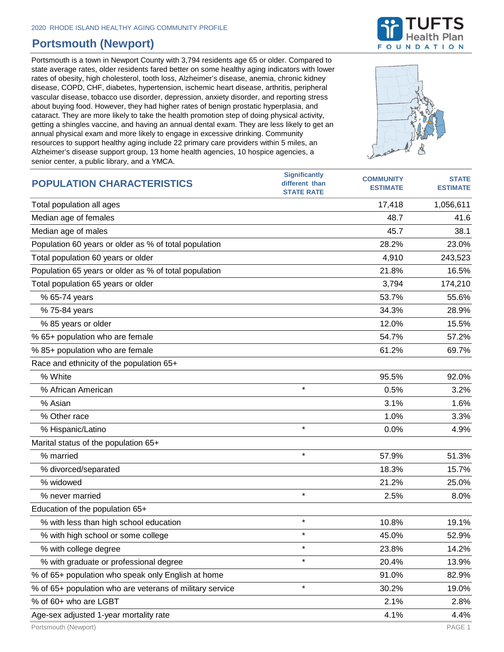## **Portsmouth (Newport)**

Portsmouth is a town in Newport County with 3,794 residents age 65 or older. Compared to state average rates, older residents fared better on some healthy aging indicators with lower rates of obesity, high cholesterol, tooth loss, Alzheimer's disease, anemia, chronic kidney disease, COPD, CHF, diabetes, hypertension, ischemic heart disease, arthritis, peripheral vascular disease, tobacco use disorder, depression, anxiety disorder, and reporting stress about buying food. However, they had higher rates of benign prostatic hyperplasia, and cataract. They are more likely to take the health promotion step of doing physical activity, getting a shingles vaccine, and having an annual dental exam. They are less likely to get an annual physical exam and more likely to engage in excessive drinking. Community resources to support healthy aging include 22 primary care providers within 5 miles, an Alzheimer's disease support group, 13 home health agencies, 10 hospice agencies, a senior center, a public library, and a YMCA.





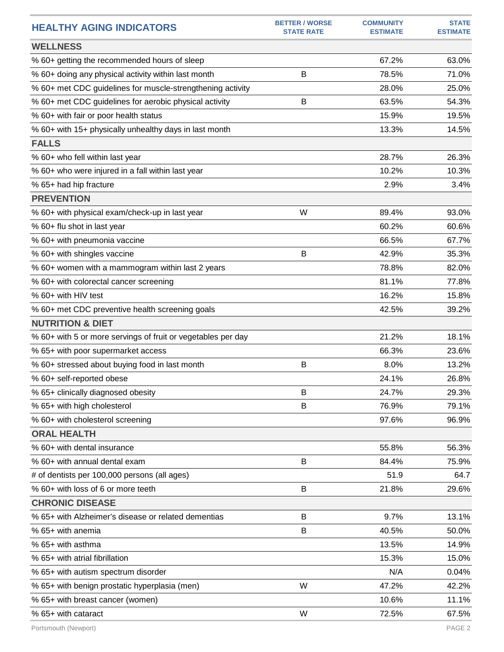| <b>HEALTHY AGING INDICATORS</b>                              | <b>BETTER / WORSE</b><br><b>STATE RATE</b> | <b>COMMUNITY</b><br><b>ESTIMATE</b> | <b>STATE</b><br><b>ESTIMATE</b> |
|--------------------------------------------------------------|--------------------------------------------|-------------------------------------|---------------------------------|
| <b>WELLNESS</b>                                              |                                            |                                     |                                 |
| % 60+ getting the recommended hours of sleep                 |                                            | 67.2%                               | 63.0%                           |
| % 60+ doing any physical activity within last month          | B                                          | 78.5%                               | 71.0%                           |
| % 60+ met CDC guidelines for muscle-strengthening activity   |                                            | 28.0%                               | 25.0%                           |
| % 60+ met CDC guidelines for aerobic physical activity       | B                                          | 63.5%                               | 54.3%                           |
| % 60+ with fair or poor health status                        |                                            | 15.9%                               | 19.5%                           |
| % 60+ with 15+ physically unhealthy days in last month       |                                            | 13.3%                               | 14.5%                           |
| <b>FALLS</b>                                                 |                                            |                                     |                                 |
| % 60+ who fell within last year                              |                                            | 28.7%                               | 26.3%                           |
| % 60+ who were injured in a fall within last year            |                                            | 10.2%                               | 10.3%                           |
| % 65+ had hip fracture                                       |                                            | 2.9%                                | 3.4%                            |
| <b>PREVENTION</b>                                            |                                            |                                     |                                 |
| % 60+ with physical exam/check-up in last year               | W                                          | 89.4%                               | 93.0%                           |
| % 60+ flu shot in last year                                  |                                            | 60.2%                               | 60.6%                           |
| % 60+ with pneumonia vaccine                                 |                                            | 66.5%                               | 67.7%                           |
| % 60+ with shingles vaccine                                  | В                                          | 42.9%                               | 35.3%                           |
| % 60+ women with a mammogram within last 2 years             |                                            | 78.8%                               | 82.0%                           |
| % 60+ with colorectal cancer screening                       |                                            | 81.1%                               | 77.8%                           |
| % 60+ with HIV test                                          |                                            | 16.2%                               | 15.8%                           |
| % 60+ met CDC preventive health screening goals              |                                            | 42.5%                               | 39.2%                           |
| <b>NUTRITION &amp; DIET</b>                                  |                                            |                                     |                                 |
| % 60+ with 5 or more servings of fruit or vegetables per day |                                            | 21.2%                               | 18.1%                           |
| % 65+ with poor supermarket access                           |                                            | 66.3%                               | 23.6%                           |
| % 60+ stressed about buying food in last month               | B                                          | 8.0%                                | 13.2%                           |
| % 60+ self-reported obese                                    |                                            | 24.1%                               | 26.8%                           |
| % 65+ clinically diagnosed obesity                           | В                                          | 24.7%                               | 29.3%                           |
| % 65+ with high cholesterol                                  | B                                          | 76.9%                               | 79.1%                           |
| % 60+ with cholesterol screening                             |                                            | 97.6%                               | 96.9%                           |
| <b>ORAL HEALTH</b>                                           |                                            |                                     |                                 |
| % 60+ with dental insurance                                  |                                            | 55.8%                               | 56.3%                           |
| % 60+ with annual dental exam                                | В                                          | 84.4%                               | 75.9%                           |
| # of dentists per 100,000 persons (all ages)                 |                                            | 51.9                                | 64.7                            |
| % 60+ with loss of 6 or more teeth                           | B                                          | 21.8%                               | 29.6%                           |
| <b>CHRONIC DISEASE</b>                                       |                                            |                                     |                                 |
| % 65+ with Alzheimer's disease or related dementias          | B                                          | 9.7%                                | 13.1%                           |
| % 65+ with anemia                                            | B                                          | 40.5%                               | 50.0%                           |
| % 65+ with asthma                                            |                                            | 13.5%                               | 14.9%                           |
| % 65+ with atrial fibrillation                               |                                            | 15.3%                               | 15.0%                           |
| % 65+ with autism spectrum disorder                          |                                            | N/A                                 | 0.04%                           |
| % 65+ with benign prostatic hyperplasia (men)                | W                                          | 47.2%                               | 42.2%                           |
| % 65+ with breast cancer (women)                             |                                            | 10.6%                               | 11.1%                           |
| % 65+ with cataract                                          | W                                          | 72.5%                               | 67.5%                           |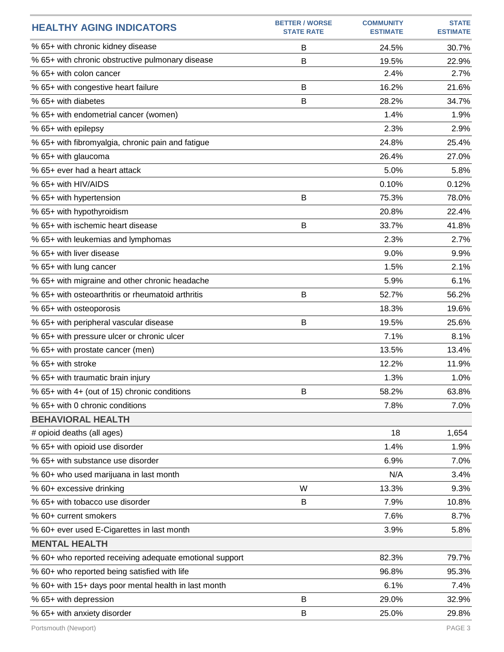| <b>HEALTHY AGING INDICATORS</b>                         | <b>BETTER / WORSE</b><br><b>STATE RATE</b> | <b>COMMUNITY</b><br><b>ESTIMATE</b> | <b>STATE</b><br><b>ESTIMATE</b> |
|---------------------------------------------------------|--------------------------------------------|-------------------------------------|---------------------------------|
| % 65+ with chronic kidney disease                       | B                                          | 24.5%                               | 30.7%                           |
| % 65+ with chronic obstructive pulmonary disease        | B                                          | 19.5%                               | 22.9%                           |
| % 65+ with colon cancer                                 |                                            | 2.4%                                | 2.7%                            |
| % 65+ with congestive heart failure                     | B                                          | 16.2%                               | 21.6%                           |
| % 65+ with diabetes                                     | B                                          | 28.2%                               | 34.7%                           |
| % 65+ with endometrial cancer (women)                   |                                            | 1.4%                                | 1.9%                            |
| % 65+ with epilepsy                                     |                                            | 2.3%                                | 2.9%                            |
| % 65+ with fibromyalgia, chronic pain and fatigue       |                                            | 24.8%                               | 25.4%                           |
| % 65+ with glaucoma                                     |                                            | 26.4%                               | 27.0%                           |
| % 65+ ever had a heart attack                           |                                            | 5.0%                                | 5.8%                            |
| % 65+ with HIV/AIDS                                     |                                            | 0.10%                               | 0.12%                           |
| % 65+ with hypertension                                 | B                                          | 75.3%                               | 78.0%                           |
| % 65+ with hypothyroidism                               |                                            | 20.8%                               | 22.4%                           |
| % 65+ with ischemic heart disease                       | B                                          | 33.7%                               | 41.8%                           |
| % 65+ with leukemias and lymphomas                      |                                            | 2.3%                                | 2.7%                            |
| % 65+ with liver disease                                |                                            | 9.0%                                | 9.9%                            |
| % 65+ with lung cancer                                  |                                            | 1.5%                                | 2.1%                            |
| % 65+ with migraine and other chronic headache          |                                            | 5.9%                                | 6.1%                            |
| % 65+ with osteoarthritis or rheumatoid arthritis       | B                                          | 52.7%                               | 56.2%                           |
| % 65+ with osteoporosis                                 |                                            | 18.3%                               | 19.6%                           |
| % 65+ with peripheral vascular disease                  | B                                          | 19.5%                               | 25.6%                           |
| % 65+ with pressure ulcer or chronic ulcer              |                                            | 7.1%                                | 8.1%                            |
| % 65+ with prostate cancer (men)                        |                                            | 13.5%                               | 13.4%                           |
| % 65+ with stroke                                       |                                            | 12.2%                               | 11.9%                           |
| % 65+ with traumatic brain injury                       |                                            | 1.3%                                | 1.0%                            |
| % 65+ with 4+ (out of 15) chronic conditions            | B                                          | 58.2%                               | 63.8%                           |
| % 65+ with 0 chronic conditions                         |                                            | 7.8%                                | 7.0%                            |
| <b>BEHAVIORAL HEALTH</b>                                |                                            |                                     |                                 |
| # opioid deaths (all ages)                              |                                            | 18                                  | 1,654                           |
| % 65+ with opioid use disorder                          |                                            | 1.4%                                | 1.9%                            |
| % 65+ with substance use disorder                       |                                            | 6.9%                                | 7.0%                            |
| % 60+ who used marijuana in last month                  |                                            | N/A                                 | 3.4%                            |
| % 60+ excessive drinking                                | W                                          | 13.3%                               | 9.3%                            |
| % 65+ with tobacco use disorder                         | B                                          | 7.9%                                | 10.8%                           |
| % 60+ current smokers                                   |                                            | 7.6%                                | 8.7%                            |
| % 60+ ever used E-Cigarettes in last month              |                                            | 3.9%                                | 5.8%                            |
| <b>MENTAL HEALTH</b>                                    |                                            |                                     |                                 |
| % 60+ who reported receiving adequate emotional support |                                            | 82.3%                               | 79.7%                           |
| % 60+ who reported being satisfied with life            |                                            | 96.8%                               | 95.3%                           |
| % 60+ with 15+ days poor mental health in last month    |                                            | 6.1%                                | 7.4%                            |
| % 65+ with depression                                   | B                                          | 29.0%                               | 32.9%                           |
| % 65+ with anxiety disorder                             | B                                          | 25.0%                               | 29.8%                           |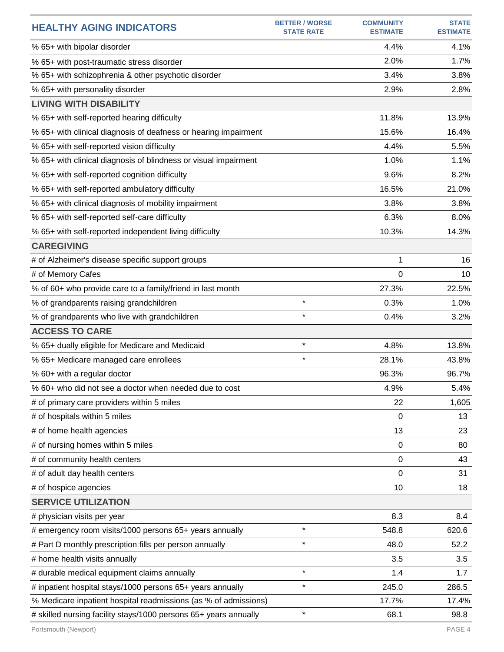| <b>HEALTHY AGING INDICATORS</b>                                  | <b>BETTER / WORSE</b><br><b>STATE RATE</b> | <b>COMMUNITY</b><br><b>ESTIMATE</b> | <b>STATE</b><br><b>ESTIMATE</b> |
|------------------------------------------------------------------|--------------------------------------------|-------------------------------------|---------------------------------|
| % 65+ with bipolar disorder                                      |                                            | 4.4%                                | 4.1%                            |
| % 65+ with post-traumatic stress disorder                        |                                            | 2.0%                                | 1.7%                            |
| % 65+ with schizophrenia & other psychotic disorder              |                                            | 3.4%                                | 3.8%                            |
| % 65+ with personality disorder                                  |                                            | 2.9%                                | 2.8%                            |
| <b>LIVING WITH DISABILITY</b>                                    |                                            |                                     |                                 |
| % 65+ with self-reported hearing difficulty                      |                                            | 11.8%                               | 13.9%                           |
| % 65+ with clinical diagnosis of deafness or hearing impairment  |                                            | 15.6%                               | 16.4%                           |
| % 65+ with self-reported vision difficulty                       |                                            | 4.4%                                | 5.5%                            |
| % 65+ with clinical diagnosis of blindness or visual impairment  |                                            | 1.0%                                | 1.1%                            |
| % 65+ with self-reported cognition difficulty                    |                                            | 9.6%                                | 8.2%                            |
| % 65+ with self-reported ambulatory difficulty                   |                                            | 16.5%                               | 21.0%                           |
| % 65+ with clinical diagnosis of mobility impairment             |                                            | 3.8%                                | 3.8%                            |
| % 65+ with self-reported self-care difficulty                    |                                            | 6.3%                                | 8.0%                            |
| % 65+ with self-reported independent living difficulty           |                                            | 10.3%                               | 14.3%                           |
| <b>CAREGIVING</b>                                                |                                            |                                     |                                 |
| # of Alzheimer's disease specific support groups                 |                                            | 1                                   | 16                              |
| # of Memory Cafes                                                |                                            | 0                                   | 10                              |
| % of 60+ who provide care to a family/friend in last month       |                                            | 27.3%                               | 22.5%                           |
| % of grandparents raising grandchildren                          | $\star$                                    | 0.3%                                | 1.0%                            |
| % of grandparents who live with grandchildren                    | $\star$                                    | 0.4%                                | 3.2%                            |
| <b>ACCESS TO CARE</b>                                            |                                            |                                     |                                 |
| % 65+ dually eligible for Medicare and Medicaid                  | $\star$                                    | 4.8%                                | 13.8%                           |
| % 65+ Medicare managed care enrollees                            | $\star$                                    | 28.1%                               | 43.8%                           |
| % 60+ with a regular doctor                                      |                                            | 96.3%                               | 96.7%                           |
| % 60+ who did not see a doctor when needed due to cost           |                                            | 4.9%                                | 5.4%                            |
| # of primary care providers within 5 miles                       |                                            | 22                                  | 1,605                           |
| # of hospitals within 5 miles                                    |                                            | 0                                   | 13                              |
| # of home health agencies                                        |                                            | 13                                  | 23                              |
| # of nursing homes within 5 miles                                |                                            | 0                                   | 80                              |
| # of community health centers                                    |                                            | 0                                   | 43                              |
| # of adult day health centers                                    |                                            | 0                                   | 31                              |
| # of hospice agencies                                            |                                            | 10                                  | 18                              |
| <b>SERVICE UTILIZATION</b>                                       |                                            |                                     |                                 |
| # physician visits per year                                      |                                            | 8.3                                 | 8.4                             |
| # emergency room visits/1000 persons 65+ years annually          | $\star$                                    | 548.8                               | 620.6                           |
| # Part D monthly prescription fills per person annually          | $\star$                                    | 48.0                                | 52.2                            |
| # home health visits annually                                    |                                            | 3.5                                 | 3.5                             |
| # durable medical equipment claims annually                      | $\star$                                    | 1.4                                 | 1.7                             |
| # inpatient hospital stays/1000 persons 65+ years annually       | $\star$                                    | 245.0                               | 286.5                           |
| % Medicare inpatient hospital readmissions (as % of admissions)  |                                            | 17.7%                               | 17.4%                           |
| # skilled nursing facility stays/1000 persons 65+ years annually | $\star$                                    | 68.1                                | 98.8                            |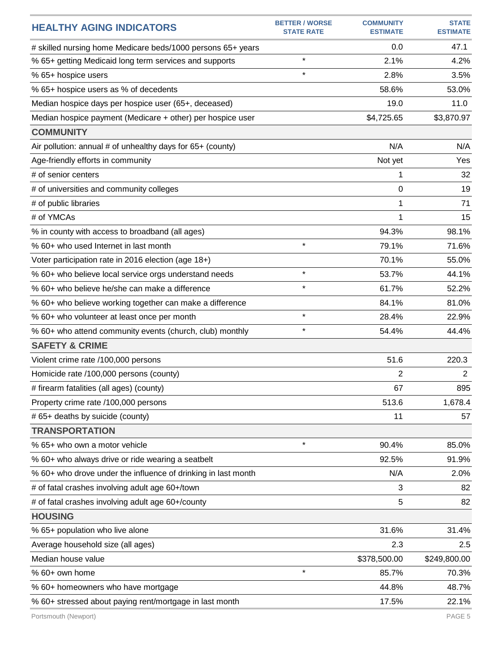| 0.0<br>47.1<br># skilled nursing home Medicare beds/1000 persons 65+ years<br>$\star$<br>% 65+ getting Medicaid long term services and supports<br>2.1%<br>4.2%<br>$\star$<br>% 65+ hospice users<br>2.8%<br>3.5%<br>% 65+ hospice users as % of decedents<br>58.6%<br>53.0%<br>Median hospice days per hospice user (65+, deceased)<br>19.0<br>11.0<br>\$3,870.97<br>\$4,725.65<br>Median hospice payment (Medicare + other) per hospice user<br><b>COMMUNITY</b><br>Air pollution: annual # of unhealthy days for 65+ (county)<br>N/A<br>N/A<br>Age-friendly efforts in community<br>Not yet<br>Yes<br># of senior centers<br>1<br>32<br>19<br># of universities and community colleges<br>0 |
|------------------------------------------------------------------------------------------------------------------------------------------------------------------------------------------------------------------------------------------------------------------------------------------------------------------------------------------------------------------------------------------------------------------------------------------------------------------------------------------------------------------------------------------------------------------------------------------------------------------------------------------------------------------------------------------------|
|                                                                                                                                                                                                                                                                                                                                                                                                                                                                                                                                                                                                                                                                                                |
|                                                                                                                                                                                                                                                                                                                                                                                                                                                                                                                                                                                                                                                                                                |
|                                                                                                                                                                                                                                                                                                                                                                                                                                                                                                                                                                                                                                                                                                |
|                                                                                                                                                                                                                                                                                                                                                                                                                                                                                                                                                                                                                                                                                                |
|                                                                                                                                                                                                                                                                                                                                                                                                                                                                                                                                                                                                                                                                                                |
|                                                                                                                                                                                                                                                                                                                                                                                                                                                                                                                                                                                                                                                                                                |
|                                                                                                                                                                                                                                                                                                                                                                                                                                                                                                                                                                                                                                                                                                |
|                                                                                                                                                                                                                                                                                                                                                                                                                                                                                                                                                                                                                                                                                                |
|                                                                                                                                                                                                                                                                                                                                                                                                                                                                                                                                                                                                                                                                                                |
|                                                                                                                                                                                                                                                                                                                                                                                                                                                                                                                                                                                                                                                                                                |
|                                                                                                                                                                                                                                                                                                                                                                                                                                                                                                                                                                                                                                                                                                |
| 1<br># of public libraries<br>71                                                                                                                                                                                                                                                                                                                                                                                                                                                                                                                                                                                                                                                               |
| # of YMCAs<br>1<br>15                                                                                                                                                                                                                                                                                                                                                                                                                                                                                                                                                                                                                                                                          |
| 94.3%<br>98.1%<br>% in county with access to broadband (all ages)                                                                                                                                                                                                                                                                                                                                                                                                                                                                                                                                                                                                                              |
| $\star$<br>% 60+ who used Internet in last month<br>79.1%<br>71.6%                                                                                                                                                                                                                                                                                                                                                                                                                                                                                                                                                                                                                             |
| 70.1%<br>55.0%<br>Voter participation rate in 2016 election (age 18+)                                                                                                                                                                                                                                                                                                                                                                                                                                                                                                                                                                                                                          |
| $\star$<br>% 60+ who believe local service orgs understand needs<br>53.7%<br>44.1%                                                                                                                                                                                                                                                                                                                                                                                                                                                                                                                                                                                                             |
| $\star$<br>% 60+ who believe he/she can make a difference<br>61.7%<br>52.2%                                                                                                                                                                                                                                                                                                                                                                                                                                                                                                                                                                                                                    |
| 81.0%<br>% 60+ who believe working together can make a difference<br>84.1%                                                                                                                                                                                                                                                                                                                                                                                                                                                                                                                                                                                                                     |
| $\star$<br>% 60+ who volunteer at least once per month<br>28.4%<br>22.9%                                                                                                                                                                                                                                                                                                                                                                                                                                                                                                                                                                                                                       |
| $\star$<br>54.4%<br>44.4%<br>% 60+ who attend community events (church, club) monthly                                                                                                                                                                                                                                                                                                                                                                                                                                                                                                                                                                                                          |
| <b>SAFETY &amp; CRIME</b>                                                                                                                                                                                                                                                                                                                                                                                                                                                                                                                                                                                                                                                                      |
| 51.6<br>220.3<br>Violent crime rate /100,000 persons                                                                                                                                                                                                                                                                                                                                                                                                                                                                                                                                                                                                                                           |
| Homicide rate /100,000 persons (county)<br>2<br>$\overline{2}$                                                                                                                                                                                                                                                                                                                                                                                                                                                                                                                                                                                                                                 |
| # firearm fatalities (all ages) (county)<br>67<br>895                                                                                                                                                                                                                                                                                                                                                                                                                                                                                                                                                                                                                                          |
| 513.6<br>1,678.4<br>Property crime rate /100,000 persons                                                                                                                                                                                                                                                                                                                                                                                                                                                                                                                                                                                                                                       |
| # 65+ deaths by suicide (county)<br>11<br>57                                                                                                                                                                                                                                                                                                                                                                                                                                                                                                                                                                                                                                                   |
| <b>TRANSPORTATION</b>                                                                                                                                                                                                                                                                                                                                                                                                                                                                                                                                                                                                                                                                          |
| $\star$<br>% 65+ who own a motor vehicle<br>90.4%<br>85.0%                                                                                                                                                                                                                                                                                                                                                                                                                                                                                                                                                                                                                                     |
| % 60+ who always drive or ride wearing a seatbelt<br>92.5%<br>91.9%                                                                                                                                                                                                                                                                                                                                                                                                                                                                                                                                                                                                                            |
| % 60+ who drove under the influence of drinking in last month<br>N/A<br>2.0%                                                                                                                                                                                                                                                                                                                                                                                                                                                                                                                                                                                                                   |
| # of fatal crashes involving adult age 60+/town<br>3<br>82                                                                                                                                                                                                                                                                                                                                                                                                                                                                                                                                                                                                                                     |
| # of fatal crashes involving adult age 60+/county<br>5<br>82                                                                                                                                                                                                                                                                                                                                                                                                                                                                                                                                                                                                                                   |
| <b>HOUSING</b>                                                                                                                                                                                                                                                                                                                                                                                                                                                                                                                                                                                                                                                                                 |
| % 65+ population who live alone<br>31.6%<br>31.4%                                                                                                                                                                                                                                                                                                                                                                                                                                                                                                                                                                                                                                              |
| Average household size (all ages)<br>2.3<br>2.5                                                                                                                                                                                                                                                                                                                                                                                                                                                                                                                                                                                                                                                |
| Median house value<br>\$378,500.00<br>\$249,800.00                                                                                                                                                                                                                                                                                                                                                                                                                                                                                                                                                                                                                                             |
| $\star$<br>% 60+ own home<br>85.7%<br>70.3%                                                                                                                                                                                                                                                                                                                                                                                                                                                                                                                                                                                                                                                    |
| % 60+ homeowners who have mortgage<br>44.8%<br>48.7%                                                                                                                                                                                                                                                                                                                                                                                                                                                                                                                                                                                                                                           |
| % 60+ stressed about paying rent/mortgage in last month<br>17.5%<br>22.1%                                                                                                                                                                                                                                                                                                                                                                                                                                                                                                                                                                                                                      |